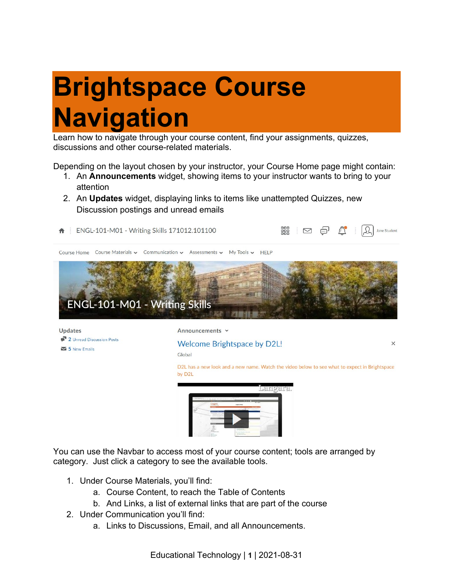## **Brightspace Course Navigation**

Learn how to navigate through your course content, find your assignments, quizzes, discussions and other course-related materials.

Depending on the layout chosen by your instructor, your Course Home page might contain:

- 1. An **Announcements** widget, showing items to your instructor wants to bring to your attention
- 2. An **Updates** widget, displaying links to items like unattempted Quizzes, new Discussion postings and unread emails



You can use the Navbar to access most of your course content; tools are arranged by category. Just click a category to see the available tools.

- 1. Under Course Materials, you'll find:
	- a. Course Content, to reach the Table of Contents
	- b. And Links, a list of external links that are part of the course
- 2. Under Communication you'll find:
	- a. Links to Discussions, Email, and all Announcements.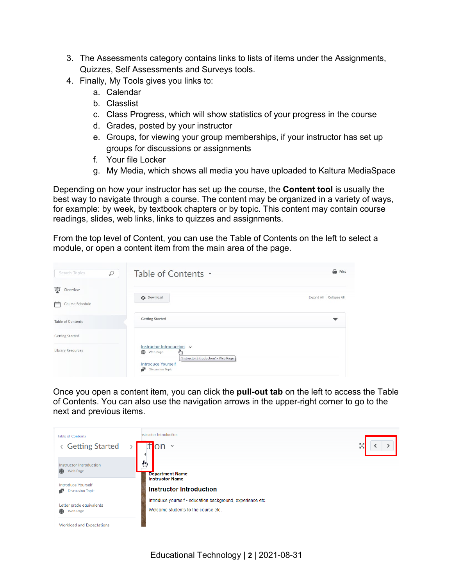- 3. The Assessments category contains links to lists of items under the Assignments, Quizzes, Self Assessments and Surveys tools.
- 4. Finally, My Tools gives you links to:
	- a. Calendar
	- b. Classlist
	- c. Class Progress, which will show statistics of your progress in the course
	- d. Grades, posted by your instructor
	- e. Groups, for viewing your group memberships, if your instructor has set up groups for discussions or assignments
	- f. Your file Locker
	- g. My Media, which shows all media you have uploaded to Kaltura MediaSpace

Depending on how your instructor has set up the course, the **Content tool** is usually the best way to navigate through a course. The content may be organized in a variety of ways, for example: by week, by textbook chapters or by topic. This content may contain course readings, slides, web links, links to quizzes and assignments.

From the top level of Content, you can use the Table of Contents on the left to select a module, or open a content item from the main area of the page.

| $\varphi$<br>Search Topics            | Table of Contents ~                                                                                                                                | а<br>Print                |
|---------------------------------------|----------------------------------------------------------------------------------------------------------------------------------------------------|---------------------------|
| 宴<br>Overview<br>Course Schedule<br>户 | <b>Download</b>                                                                                                                                    | Expand All   Collapse All |
| Table of Contents                     | <b>Getting Started</b>                                                                                                                             | ▼                         |
| <b>Getting Started</b>                |                                                                                                                                                    |                           |
| Library Resources                     | Instructor Introduction v<br>Web Page<br>سرام<br>'Instructor Introduction' - Web Page<br><b>Introduce Yourself</b><br>÷<br><b>Discussion Topic</b> |                           |

Once you open a content item, you can click the **pull-out tab** on the left to access the Table of Contents. You can also use the navigation arrows in the upper-right corner to go to the next and previous items.